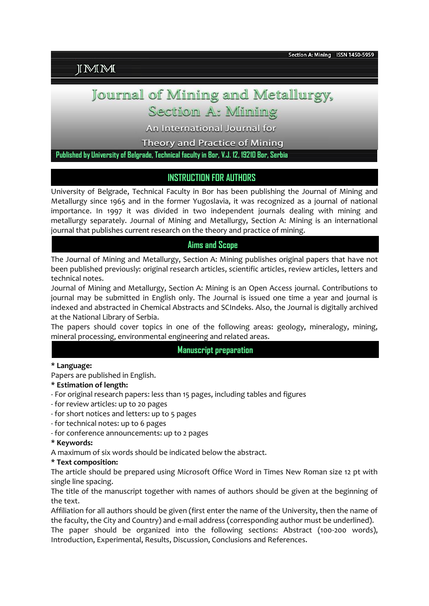**IMM** 

# Journal of Mining and Metallurgy,

Section A: Minning

An International Journal for

**Theory and Practice of Mining** 

**Published by University of Belgrade, Technical faculty in Bor, V.J. 12, 19210 Bor, Serbia**

## **INSTRUCTION FOR AUTHORS**

University of Belgrade, Technical Faculty in Bor has been publishing the Journal of Mining and Metallurgy since 1965 and in the former Yugoslavia, it was recognized as a journal of national importance. In 1997 it was divided in two independent journals dealing with mining and metallurgy separately. Journal of Mining and Metallurgy, Section A: Mining is an international journal that publishes current research on the theory and practice of mining.

## **Aims and Scope**

The Journal of Mining and Metallurgy, Section A: Mining publishes original papers that have not been published previously: original research articles, scientific articles, review articles, letters and technical notes.

Journal of Mining and Metallurgy, Section A: Mining is an Open Access journal. Contributions to journal may be submitted in English only. The Journal is issued one time a year and journal is indexed and abstracted in Chemical Abstracts and SCIndeks. Also, the Journal is digitally archived at the National Library of Serbia.

The papers should cover topics in one of the following areas: geology, mineralogy, mining, mineral processing, environmental engineering and related areas.

## **Manuscript preparation**

**\* Language:**

Papers are published in English.

#### **\* Estimation of length:**

- For original research papers: less than 15 pages, including tables and figures
- for review articles: up to 20 pages
- for short notices and letters: up to 5 pages
- for technical notes: up to 6 pages
- for conference announcements: up to 2 pages

#### **\* Keywords:**

A maximum of six words should be indicated below the abstract.

#### **\* Text composition:**

The article should be prepared using Microsoft Office Word in Times New Roman size 12 pt with single line spacing.

The title of the manuscript together with names of authors should be given at the beginning of the text.

Affiliation for all authors should be given (first enter the name of the University, then the name of the faculty, the City and Country) and e-mail address (corresponding author must be underlined).

The paper should be organized into the following sections: Abstract (100-200 words), Introduction, Experimental, Results, Discussion, Conclusions and References.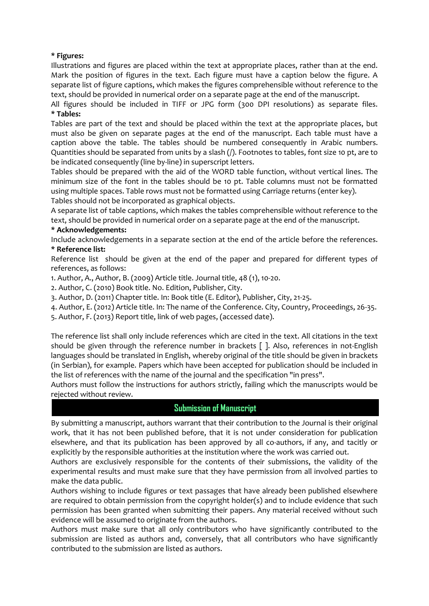## **\* Figures:**

Illustrations and figures are placed within the text at appropriate places, rather than at the end. Mark the position of figures in the text. Each figure must have a caption below the figure. A separate list of figure captions, which makes the figures comprehensible without reference to the text, should be provided in numerical order on a separate page at the end of the manuscript.

All figures should be included in TIFF or JPG form (300 DPI resolutions) as separate files. **\* Tables:**

Tables are part of the text and should be placed within the text at the appropriate places, but must also be given on separate pages at the end of the manuscript. Each table must have a caption above the table. The tables should be numbered consequently in Arabic numbers. Quantities should be separated from units by a slash (/). Footnotes to tables, font size 10 pt, are to be indicated consequently (line by-line) in superscript letters.

Tables should be prepared with the aid of the WORD table function, without vertical lines. The minimum size of the font in the tables should be 10 pt. Table columns must not be formatted using multiple spaces. Table rows must not be formatted using Carriage returns (enter key). Tables should not be incorporated as graphical objects.

A separate list of table captions, which makes the tables comprehensible without reference to the text, should be provided in numerical order on a separate page at the end of the manuscript.

#### **\* Acknowledgements:**

Include acknowledgements in a separate section at the end of the article before the references. **\* Reference list:**

Reference list should be given at the end of the paper and prepared for different types of references, as follows:

1. Author, A., Author, B. (2009) Article title. Journal title, 48 (1), 10-20.

2. Author, C. (2010) Book title. No. Edition, Publisher, City.

3. Author, D. (2011) Chapter title. In: Book title (E. Editor), Publisher, City, 21-25.

4. Author, E. (2012) Article title. In: The name of the Conference. City, Country, Proceedings, 26-35.

5. Author, F. (2013) Report title, link of web pages, (accessed date).

The reference list shall only include references which are cited in the text. All citations in the text should be given through the reference number in brackets [ ]. Also, references in not-English languages should be translated in English, whereby original of the title should be given in brackets (in Serbian), for example. Papers which have been accepted for publication should be included in the list of references with the name of the journal and the specification "in press".

Authors must follow the instructions for authors strictly, failing which the manuscripts would be rejected without review.

## **Submission of Manuscript**

By submitting a manuscript, authors warrant that their contribution to the Journal is their original work, that it has not been published before, that it is not under consideration for publication elsewhere, and that its publication has been approved by all co-authors, if any, and tacitly or explicitly by the responsible authorities at the institution where the work was carried out.

Authors are exclusively responsible for the contents of their submissions, the validity of the experimental results and must make sure that they have permission from all involved parties to make the data public.

Authors wishing to include figures or text passages that have already been published elsewhere are required to obtain permission from the copyright holder(s) and to include evidence that such permission has been granted when submitting their papers. Any material received without such evidence will be assumed to originate from the authors.

Authors must make sure that all only contributors who have significantly contributed to the submission are listed as authors and, conversely, that all contributors who have significantly contributed to the submission are listed as authors.